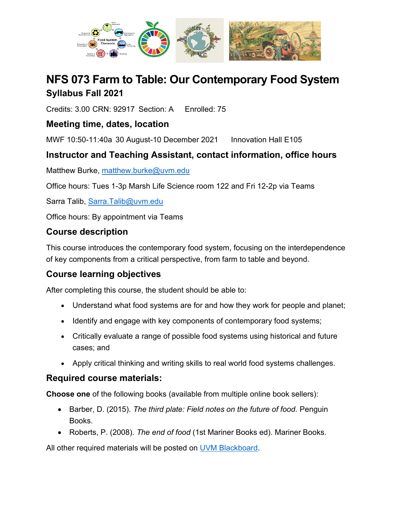

# **NFS 073 Farm to Table: Our Contemporary Food System Syllabus Fall 2021**

Credits: 3.00 CRN: 92917 Section: A Enrolled: 75

## **Meeting time, dates, location**

MWF 10:50-11:40a 30 August-10 December 2021 Innovation Hall E105

## **Instructor and Teaching Assistant, contact information, office hours**

Matthew Burke, [matthew.burke@uvm.edu](mailto:matthew.burke@uvm.edu)

Office hours: Tues 1-3p Marsh Life Science room 122 and Fri 12-2p via Teams

Sarra Talib, [Sarra.Talib@uvm.edu](mailto:Sarra.Talib@uvm.edu)

Office hours: By appointment via Teams

### **Course description**

This course introduces the contemporary food system, focusing on the interdependence of key components from a critical perspective, from farm to table and beyond.

## **Course learning objectives**

After completing this course, the student should be able to:

- Understand what food systems are for and how they work for people and planet;
- Identify and engage with key components of contemporary food systems;
- Critically evaluate a range of possible food systems using historical and future cases; and
- Apply critical thinking and writing skills to real world food systems challenges.

### **Required course materials:**

**Choose one** of the following books (available from multiple online book sellers):

- Barber, D. (2015). *The third plate: Field notes on the future of food.* Penguin Books.
- Roberts, P. (2008). *The end of food* (1st Mariner Books ed). Mariner Books.

All other required materials will be posted on [UVM Blackboard.](https://bb.uvm.edu/)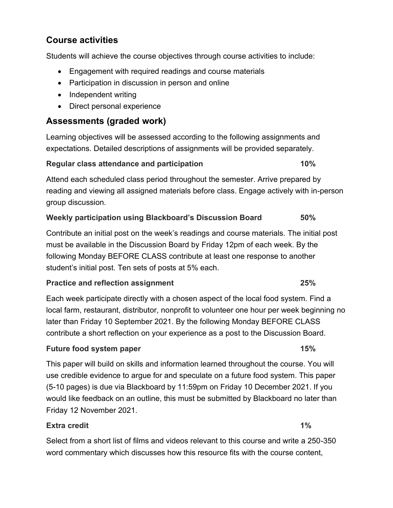## **Course activities**

Students will achieve the course objectives through course activities to include:

- Engagement with required readings and course materials
- Participation in discussion in person and online
- Independent writing
- Direct personal experience

### **Assessments (graded work)**

Learning objectives will be assessed according to the following assignments and expectations. Detailed descriptions of assignments will be provided separately.

#### **Regular class attendance and participation 10%**

Attend each scheduled class period throughout the semester. Arrive prepared by reading and viewing all assigned materials before class. Engage actively with in-person group discussion.

#### **Weekly participation using Blackboard's Discussion Board 50%**

Contribute an initial post on the week's readings and course materials. The initial post must be available in the Discussion Board by Friday 12pm of each week. By the following Monday BEFORE CLASS contribute at least one response to another student's initial post. Ten sets of posts at 5% each.

#### **Practice and reflection assignment 25%**

Each week participate directly with a chosen aspect of the local food system. Find a local farm, restaurant, distributor, nonprofit to volunteer one hour per week beginning no later than Friday 10 September 2021. By the following Monday BEFORE CLASS contribute a short reflection on your experience as a post to the Discussion Board.

#### **Future food system paper 15%**

This paper will build on skills and information learned throughout the course. You will use credible evidence to argue for and speculate on a future food system. This paper (5-10 pages) is due via Blackboard by 11:59pm on Friday 10 December 2021. If you would like feedback on an outline, this must be submitted by Blackboard no later than Friday 12 November 2021.

#### **Extra credit 1%**

Select from a short list of films and videos relevant to this course and write a 250-350 word commentary which discusses how this resource fits with the course content,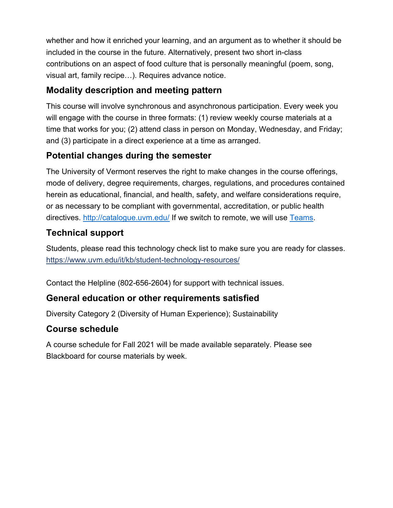whether and how it enriched your learning, and an argument as to whether it should be included in the course in the future. Alternatively, present two short in-class contributions on an aspect of food culture that is personally meaningful (poem, song, visual art, family recipe…). Requires advance notice.

## **Modality description and meeting pattern**

This course will involve synchronous and asynchronous participation. Every week you will engage with the course in three formats: (1) review weekly course materials at a time that works for you; (2) attend class in person on Monday, Wednesday, and Friday; and (3) participate in a direct experience at a time as arranged.

## **Potential changes during the semester**

The University of Vermont reserves the right to make changes in the course offerings, mode of delivery, degree requirements, charges, regulations, and procedures contained herein as educational, financial, and health, safety, and welfare considerations require, or as necessary to be compliant with governmental, accreditation, or public health directives. <http://catalogue.uvm.edu/> If we switch to remote, we will use [Teams.](https://teams.microsoft.com/l/team/19%3aNgYKe33Pbo63bsoYqci0-HG-y0MQkpP8HT1yuAkHmFE1%40thread.tacv2/conversations?groupId=f799ad89-bc33-4f67-a57e-bd03d57363e0&tenantId=1c177758-4d6b-43dc-aaeb-3b9c42562967)

## **Technical support**

Students, please read this technology check list to make sure you are ready for classes. <https://www.uvm.edu/it/kb/student-technology-resources/>

Contact the Helpline (802-656-2604) for support with technical issues.

### **General education or other requirements satisfied**

Diversity Category 2 (Diversity of Human Experience); Sustainability

### **Course schedule**

A course schedule for Fall 2021 will be made available separately. Please see Blackboard for course materials by week.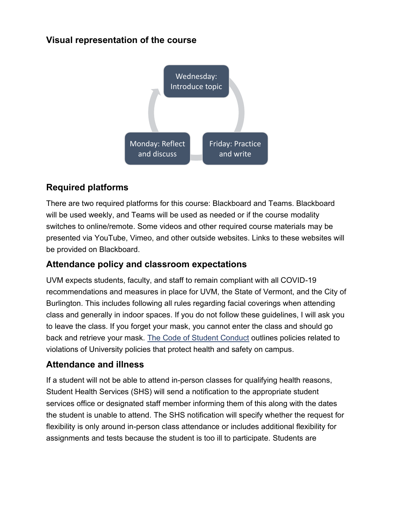## **Visual representation of the course**



## **Required platforms**

There are two required platforms for this course: Blackboard and Teams. Blackboard will be used weekly, and Teams will be used as needed or if the course modality switches to online/remote. Some videos and other required course materials may be presented via YouTube, Vimeo, and other outside websites. Links to these websites will be provided on Blackboard.

### **Attendance policy and classroom expectations**

UVM expects students, faculty, and staff to remain compliant with all COVID-19 recommendations and measures in place for UVM, the State of Vermont, and the City of Burlington. This includes following all rules regarding facial coverings when attending class and generally in indoor spaces. If you do not follow these guidelines, I will ask you to leave the class. If you forget your mask, you cannot enter the class and should go back and retrieve your mask. The [Code of Student Conduct](https://www.uvm.edu/sites/default/files/UVM-Policies/policies/studentcode.pdf) outlines policies related to violations of University policies that protect health and safety on campus.

### **Attendance and illness**

If a student will not be able to attend in-person classes for qualifying health reasons, Student Health Services (SHS) will send a notification to the appropriate student services office or designated staff member informing them of this along with the dates the student is unable to attend. The SHS notification will specify whether the request for flexibility is only around in-person class attendance or includes additional flexibility for assignments and tests because the student is too ill to participate. Students are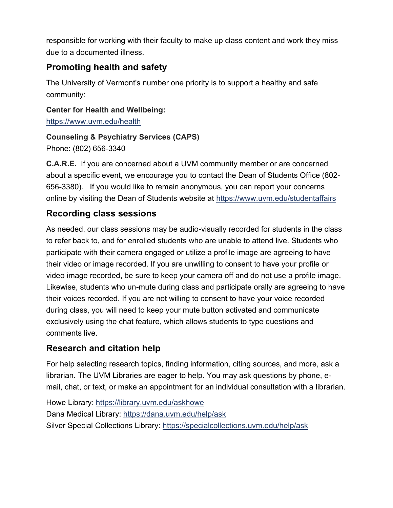responsible for working with their faculty to make up class content and work they miss due to a documented illness.

## **Promoting health and safety**

The University of Vermont's number one priority is to support a healthy and safe community:

**Center for Health and Wellbeing:**

<https://www.uvm.edu/health>

### **Counseling & Psychiatry Services (CAPS)**

Phone: (802) 656-3340

**C.A.R.E.** If you are concerned about a UVM community member or are concerned about a specific event, we encourage you to contact the Dean of Students Office (802- 656-3380). If you would like to remain anonymous, you can report your concerns online by visiting the Dean of Students website at<https://www.uvm.edu/studentaffairs>

## **Recording class sessions**

As needed, our class sessions may be audio-visually recorded for students in the class to refer back to, and for enrolled students who are unable to attend live. Students who participate with their camera engaged or utilize a profile image are agreeing to have their video or image recorded. If you are unwilling to consent to have your profile or video image recorded, be sure to keep your camera off and do not use a profile image. Likewise, students who un-mute during class and participate orally are agreeing to have their voices recorded. If you are not willing to consent to have your voice recorded during class, you will need to keep your mute button activated and communicate exclusively using the chat feature, which allows students to type questions and comments live.

## **Research and citation help**

For help selecting research topics, finding information, citing sources, and more, ask a librarian. The UVM Libraries are eager to help. You may ask questions by phone, email, chat, or text, or make an appointment for an individual consultation with a librarian.

Howe Library:<https://library.uvm.edu/askhowe> Dana Medical Library:<https://dana.uvm.edu/help/ask> Silver Special Collections Library:<https://specialcollections.uvm.edu/help/ask>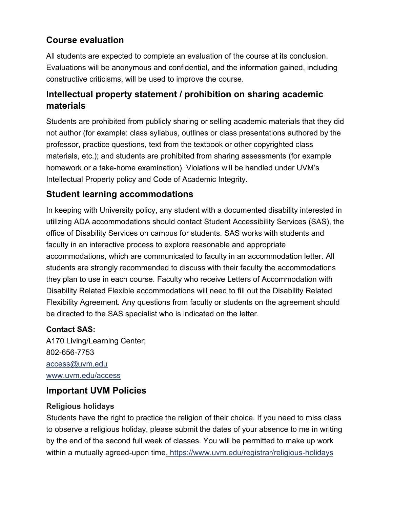## **Course evaluation**

All students are expected to complete an evaluation of the course at its conclusion. Evaluations will be anonymous and confidential, and the information gained, including constructive criticisms, will be used to improve the course.

## **Intellectual property statement / prohibition on sharing academic materials**

Students are prohibited from publicly sharing or selling academic materials that they did not author (for example: class syllabus, outlines or class presentations authored by the professor, practice questions, text from the textbook or other copyrighted class materials, etc.); and students are prohibited from sharing assessments (for example homework or a take-home examination). Violations will be handled under UVM's Intellectual Property policy and Code of Academic Integrity.

## **Student learning accommodations**

In keeping with University policy, any student with a documented disability interested in utilizing ADA accommodations should contact Student Accessibility Services (SAS), the office of Disability Services on campus for students. SAS works with students and faculty in an interactive process to explore reasonable and appropriate accommodations, which are communicated to faculty in an accommodation letter. All students are strongly recommended to discuss with their faculty the accommodations they plan to use in each course. Faculty who receive Letters of Accommodation with [Disability Related Flexible accommodations](https://www.uvm.edu/academicsuccess/forms/disability-related-flexibility-agreement) will need to fill out the Disability Related Flexibility Agreement. Any questions from faculty or students on the agreement should be directed to the SAS specialist who is indicated on the letter.

### **Contact SAS:**

A170 Living/Learning Center; 802-656-7753 [access@uvm.edu](mailto:access@uvm.edu) [www.uvm.edu/access](http://www.uvm.edu/access)

### **Important UVM Policies**

#### **Religious holidays**

Students have the right to practice the religion of their choice. If you need to miss class to observe a religious holiday, please submit the dates of your absence to me in writing by the end of the second full week of classes. You will be permitted to make up work within a mutually agreed-upon time.<https://www.uvm.edu/registrar/religious-holidays>